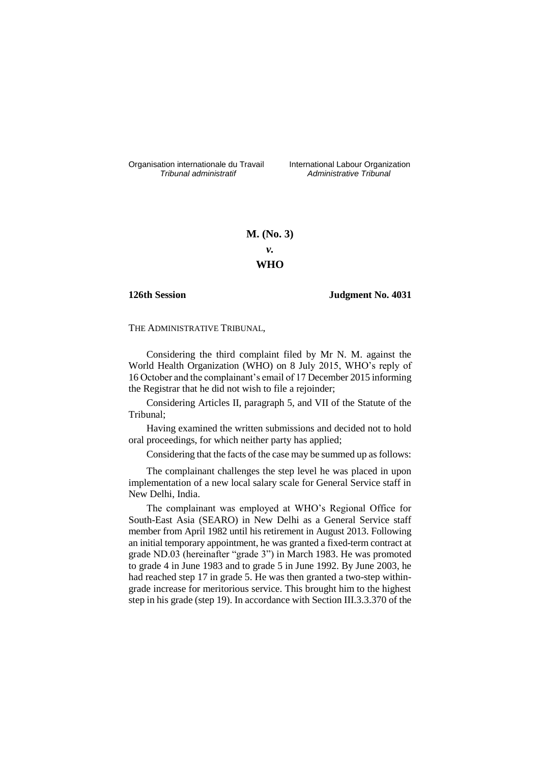Organisation internationale du Travail International Labour Organization<br>*Tribunal administratif Administrative Tribunal* 

*Tribunal administratif Administrative Tribunal*

# **M. (No. 3)** *v.*

# **WHO**

## **126th Session Judgment No. 4031**

THE ADMINISTRATIVE TRIBUNAL,

Considering the third complaint filed by Mr N. M. against the World Health Organization (WHO) on 8 July 2015, WHO's reply of 16 October and the complainant's email of 17 December 2015 informing the Registrar that he did not wish to file a rejoinder;

Considering Articles II, paragraph 5, and VII of the Statute of the Tribunal;

Having examined the written submissions and decided not to hold oral proceedings, for which neither party has applied;

Considering that the facts of the case may be summed up as follows:

The complainant challenges the step level he was placed in upon implementation of a new local salary scale for General Service staff in New Delhi, India.

The complainant was employed at WHO's Regional Office for South-East Asia (SEARO) in New Delhi as a General Service staff member from April 1982 until his retirement in August 2013. Following an initial temporary appointment, he was granted a fixed-term contract at grade ND.03 (hereinafter "grade 3") in March 1983. He was promoted to grade 4 in June 1983 and to grade 5 in June 1992. By June 2003, he had reached step 17 in grade 5. He was then granted a two-step withingrade increase for meritorious service. This brought him to the highest step in his grade (step 19). In accordance with Section III.3.3.370 of the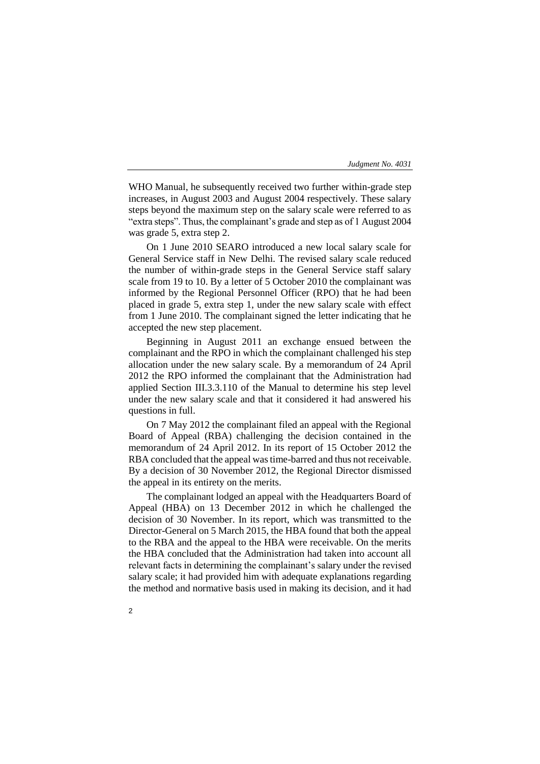WHO Manual, he subsequently received two further within-grade step increases, in August 2003 and August 2004 respectively. These salary steps beyond the maximum step on the salary scale were referred to as "extra steps". Thus, the complainant's grade and step as of 1 August 2004 was grade 5, extra step 2.

On 1 June 2010 SEARO introduced a new local salary scale for General Service staff in New Delhi. The revised salary scale reduced the number of within-grade steps in the General Service staff salary scale from 19 to 10. By a letter of 5 October 2010 the complainant was informed by the Regional Personnel Officer (RPO) that he had been placed in grade 5, extra step 1, under the new salary scale with effect from 1 June 2010. The complainant signed the letter indicating that he accepted the new step placement.

Beginning in August 2011 an exchange ensued between the complainant and the RPO in which the complainant challenged his step allocation under the new salary scale. By a memorandum of 24 April 2012 the RPO informed the complainant that the Administration had applied Section III.3.3.110 of the Manual to determine his step level under the new salary scale and that it considered it had answered his questions in full.

On 7 May 2012 the complainant filed an appeal with the Regional Board of Appeal (RBA) challenging the decision contained in the memorandum of 24 April 2012. In its report of 15 October 2012 the RBA concluded that the appeal was time-barred and thus not receivable. By a decision of 30 November 2012, the Regional Director dismissed the appeal in its entirety on the merits.

The complainant lodged an appeal with the Headquarters Board of Appeal (HBA) on 13 December 2012 in which he challenged the decision of 30 November. In its report, which was transmitted to the Director-General on 5 March 2015, the HBA found that both the appeal to the RBA and the appeal to the HBA were receivable. On the merits the HBA concluded that the Administration had taken into account all relevant facts in determining the complainant's salary under the revised salary scale; it had provided him with adequate explanations regarding the method and normative basis used in making its decision, and it had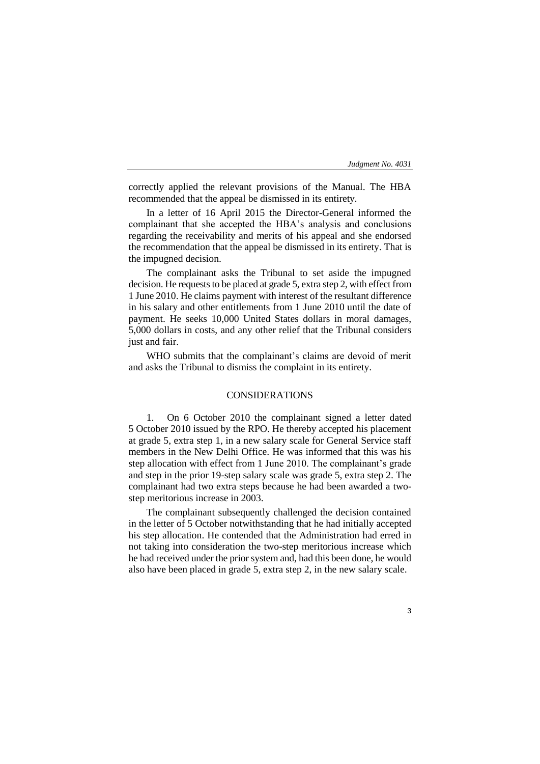correctly applied the relevant provisions of the Manual. The HBA recommended that the appeal be dismissed in its entirety.

In a letter of 16 April 2015 the Director-General informed the complainant that she accepted the HBA's analysis and conclusions regarding the receivability and merits of his appeal and she endorsed the recommendation that the appeal be dismissed in its entirety. That is the impugned decision.

The complainant asks the Tribunal to set aside the impugned decision. He requests to be placed at grade 5, extra step 2, with effect from 1 June 2010. He claims payment with interest of the resultant difference in his salary and other entitlements from 1 June 2010 until the date of payment. He seeks 10,000 United States dollars in moral damages, 5,000 dollars in costs, and any other relief that the Tribunal considers just and fair.

WHO submits that the complainant's claims are devoid of merit and asks the Tribunal to dismiss the complaint in its entirety.

# CONSIDERATIONS

1. On 6 October 2010 the complainant signed a letter dated 5 October 2010 issued by the RPO. He thereby accepted his placement at grade 5, extra step 1, in a new salary scale for General Service staff members in the New Delhi Office. He was informed that this was his step allocation with effect from 1 June 2010. The complainant's grade and step in the prior 19-step salary scale was grade 5, extra step 2. The complainant had two extra steps because he had been awarded a twostep meritorious increase in 2003.

The complainant subsequently challenged the decision contained in the letter of 5 October notwithstanding that he had initially accepted his step allocation. He contended that the Administration had erred in not taking into consideration the two-step meritorious increase which he had received under the prior system and, had this been done, he would also have been placed in grade 5, extra step 2, in the new salary scale.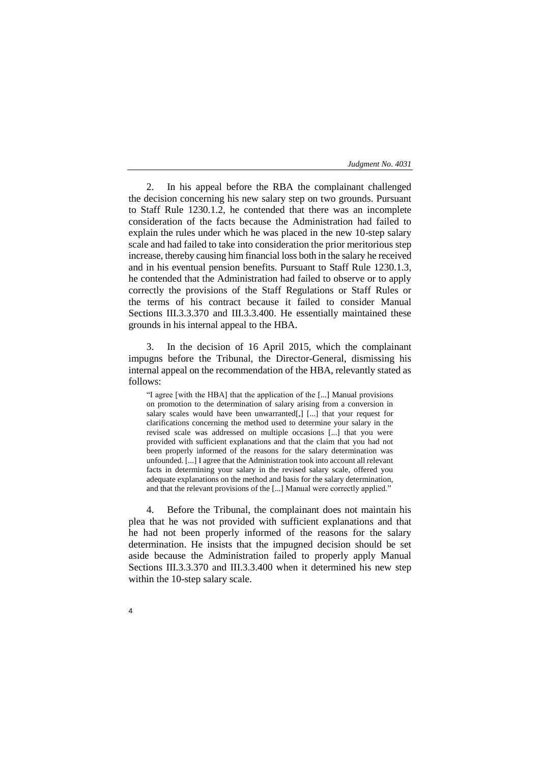2. In his appeal before the RBA the complainant challenged the decision concerning his new salary step on two grounds. Pursuant to Staff Rule 1230.1.2, he contended that there was an incomplete consideration of the facts because the Administration had failed to explain the rules under which he was placed in the new 10-step salary scale and had failed to take into consideration the prior meritorious step increase, thereby causing him financial loss both in the salary he received and in his eventual pension benefits. Pursuant to Staff Rule 1230.1.3, he contended that the Administration had failed to observe or to apply correctly the provisions of the Staff Regulations or Staff Rules or the terms of his contract because it failed to consider Manual Sections III.3.3.370 and III.3.3.400. He essentially maintained these grounds in his internal appeal to the HBA.

3. In the decision of 16 April 2015, which the complainant impugns before the Tribunal, the Director-General, dismissing his internal appeal on the recommendation of the HBA, relevantly stated as follows:

"I agree [with the HBA] that the application of the [...] Manual provisions on promotion to the determination of salary arising from a conversion in salary scales would have been unwarranted[,] [...] that your request for clarifications concerning the method used to determine your salary in the revised scale was addressed on multiple occasions [...] that you were provided with sufficient explanations and that the claim that you had not been properly informed of the reasons for the salary determination was unfounded. [...] I agree that the Administration took into account all relevant facts in determining your salary in the revised salary scale, offered you adequate explanations on the method and basis for the salary determination, and that the relevant provisions of the [...] Manual were correctly applied."

4. Before the Tribunal, the complainant does not maintain his plea that he was not provided with sufficient explanations and that he had not been properly informed of the reasons for the salary determination. He insists that the impugned decision should be set aside because the Administration failed to properly apply Manual Sections III.3.3.370 and III.3.3.400 when it determined his new step within the 10-step salary scale.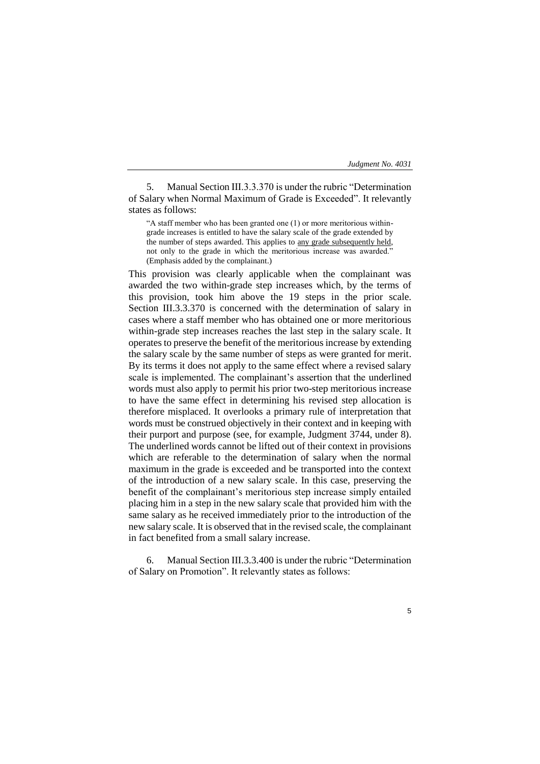5. Manual Section III.3.3.370 is under the rubric "Determination of Salary when Normal Maximum of Grade is Exceeded". It relevantly states as follows:

"A staff member who has been granted one (1) or more meritorious withingrade increases is entitled to have the salary scale of the grade extended by the number of steps awarded. This applies to any grade subsequently held, not only to the grade in which the meritorious increase was awarded." (Emphasis added by the complainant.)

This provision was clearly applicable when the complainant was awarded the two within-grade step increases which, by the terms of this provision, took him above the 19 steps in the prior scale. Section III.3.3.370 is concerned with the determination of salary in cases where a staff member who has obtained one or more meritorious within-grade step increases reaches the last step in the salary scale. It operates to preserve the benefit of the meritorious increase by extending the salary scale by the same number of steps as were granted for merit. By its terms it does not apply to the same effect where a revised salary scale is implemented. The complainant's assertion that the underlined words must also apply to permit his prior two-step meritorious increase to have the same effect in determining his revised step allocation is therefore misplaced. It overlooks a primary rule of interpretation that words must be construed objectively in their context and in keeping with their purport and purpose (see, for example, Judgment 3744, under 8). The underlined words cannot be lifted out of their context in provisions which are referable to the determination of salary when the normal maximum in the grade is exceeded and be transported into the context of the introduction of a new salary scale. In this case, preserving the benefit of the complainant's meritorious step increase simply entailed placing him in a step in the new salary scale that provided him with the same salary as he received immediately prior to the introduction of the new salary scale. It is observed that in the revised scale, the complainant in fact benefited from a small salary increase.

6. Manual Section III.3.3.400 is under the rubric "Determination of Salary on Promotion". It relevantly states as follows: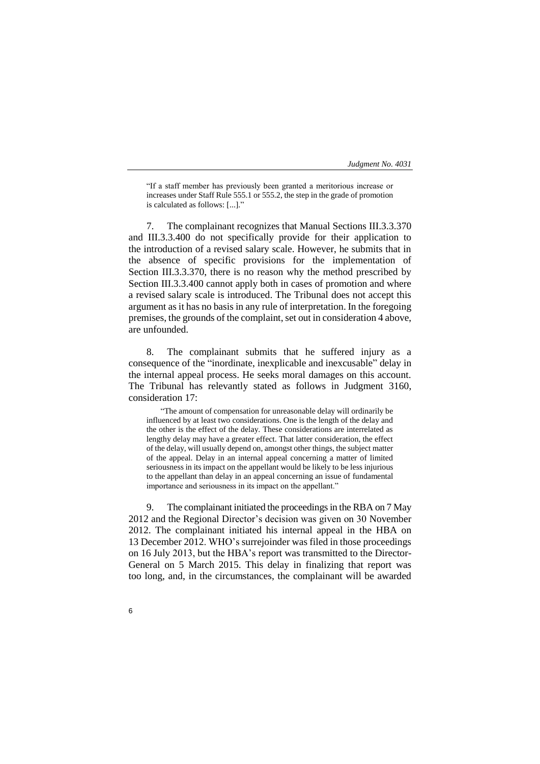"If a staff member has previously been granted a meritorious increase or increases under Staff Rule 555.1 or 555.2, the step in the grade of promotion is calculated as follows: [...]."

7. The complainant recognizes that Manual Sections III.3.3.370 and III.3.3.400 do not specifically provide for their application to the introduction of a revised salary scale. However, he submits that in the absence of specific provisions for the implementation of Section III.3.3.370, there is no reason why the method prescribed by Section III.3.3.400 cannot apply both in cases of promotion and where a revised salary scale is introduced. The Tribunal does not accept this argument as it has no basis in any rule of interpretation. In the foregoing premises, the grounds of the complaint, set out in consideration 4 above, are unfounded.

8. The complainant submits that he suffered injury as a consequence of the "inordinate, inexplicable and inexcusable" delay in the internal appeal process. He seeks moral damages on this account. The Tribunal has relevantly stated as follows in Judgment 3160, consideration 17:

"The amount of compensation for unreasonable delay will ordinarily be influenced by at least two considerations. One is the length of the delay and the other is the effect of the delay. These considerations are interrelated as lengthy delay may have a greater effect. That latter consideration, the effect of the delay, will usually depend on, amongst other things, the subject matter of the appeal. Delay in an internal appeal concerning a matter of limited seriousness in its impact on the appellant would be likely to be less injurious to the appellant than delay in an appeal concerning an issue of fundamental importance and seriousness in its impact on the appellant."

9. The complainant initiated the proceedings in the RBA on 7 May 2012 and the Regional Director's decision was given on 30 November 2012. The complainant initiated his internal appeal in the HBA on 13 December 2012. WHO's surrejoinder was filed in those proceedings on 16 July 2013, but the HBA's report was transmitted to the Director-General on 5 March 2015. This delay in finalizing that report was too long, and, in the circumstances, the complainant will be awarded